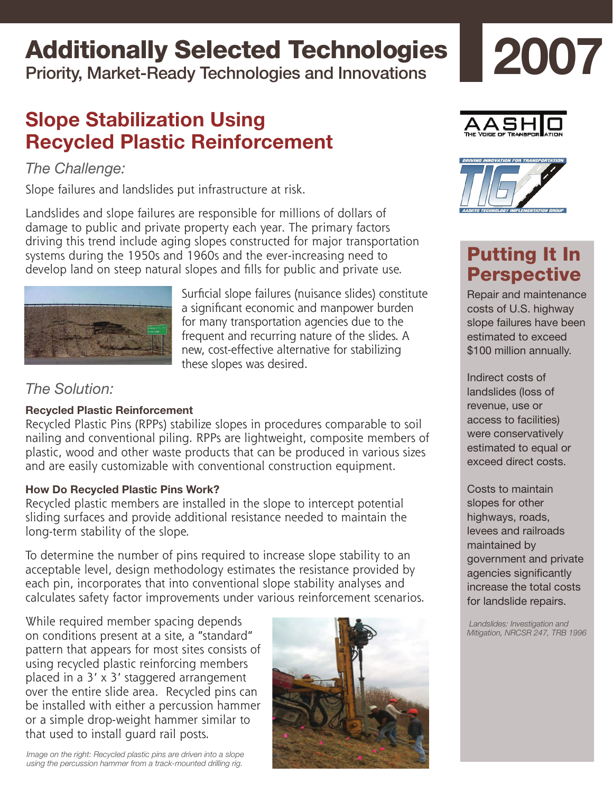# Additionally Selected Technologies

Priority, Market-Ready Technologies and Innovations

## **Slope Stabilization Using Recycled Plastic Reinforcement**

## *The Challenge:*

Slope failures and landslides put infrastructure at risk.

Landslides and slope failures are responsible for millions of dollars of damage to public and private property each year. The primary factors driving this trend include aging slopes constructed for major transportation systems during the 1950s and 1960s and the ever-increasing need to develop land on steep natural slopes and fills for public and private use.



Surficial slope failures (nuisance slides) constitute a significant economic and manpower burden for many transportation agencies due to the frequent and recurring nature of the slides. A new, cost-effective alternative for stabilizing these slopes was desired.

*The Solution:*

### **Recycled Plastic Reinforcement**

Recycled Plastic Pins (RPPs) stabilize slopes in procedures comparable to soil nailing and conventional piling. RPPs are lightweight, composite members of plastic, wood and other waste products that can be produced in various sizes and are easily customizable with conventional construction equipment.

### **How Do Recycled Plastic Pins Work?**

Recycled plastic members are installed in the slope to intercept potential sliding surfaces and provide additional resistance needed to maintain the long-term stability of the slope.

To determine the number of pins required to increase slope stability to an acceptable level, design methodology estimates the resistance provided by each pin, incorporates that into conventional slope stability analyses and calculates safety factor improvements under various reinforcement scenarios.

While required member spacing depends on conditions present at a site, a "standard" pattern that appears for most sites consists of using recycled plastic reinforcing members placed in a 3' x 3' staggered arrangement over the entire slide area. Recycled pins can be installed with either a percussion hammer or a simple drop-weight hammer similar to that used to install guard rail posts.





**2007**



## Putting It In **Perspective**

Repair and maintenance costs of U.S. highway slope failures have been estimated to exceed \$100 million annually.

Indirect costs of landslides (loss of revenue, use or access to facilities) were conservatively estimated to equal or exceed direct costs.

Costs to maintain slopes for other highways, roads, levees and railroads maintained by government and private agencies significantly increase the total costs for landslide repairs.

 *Landslides: Investigation and Mitigation, NRCSR 247, TRB 1996* 

*Image on the right: Recycled plastic pins are driven into a slope using the percussion hammer from a track-mounted drilling rig.*